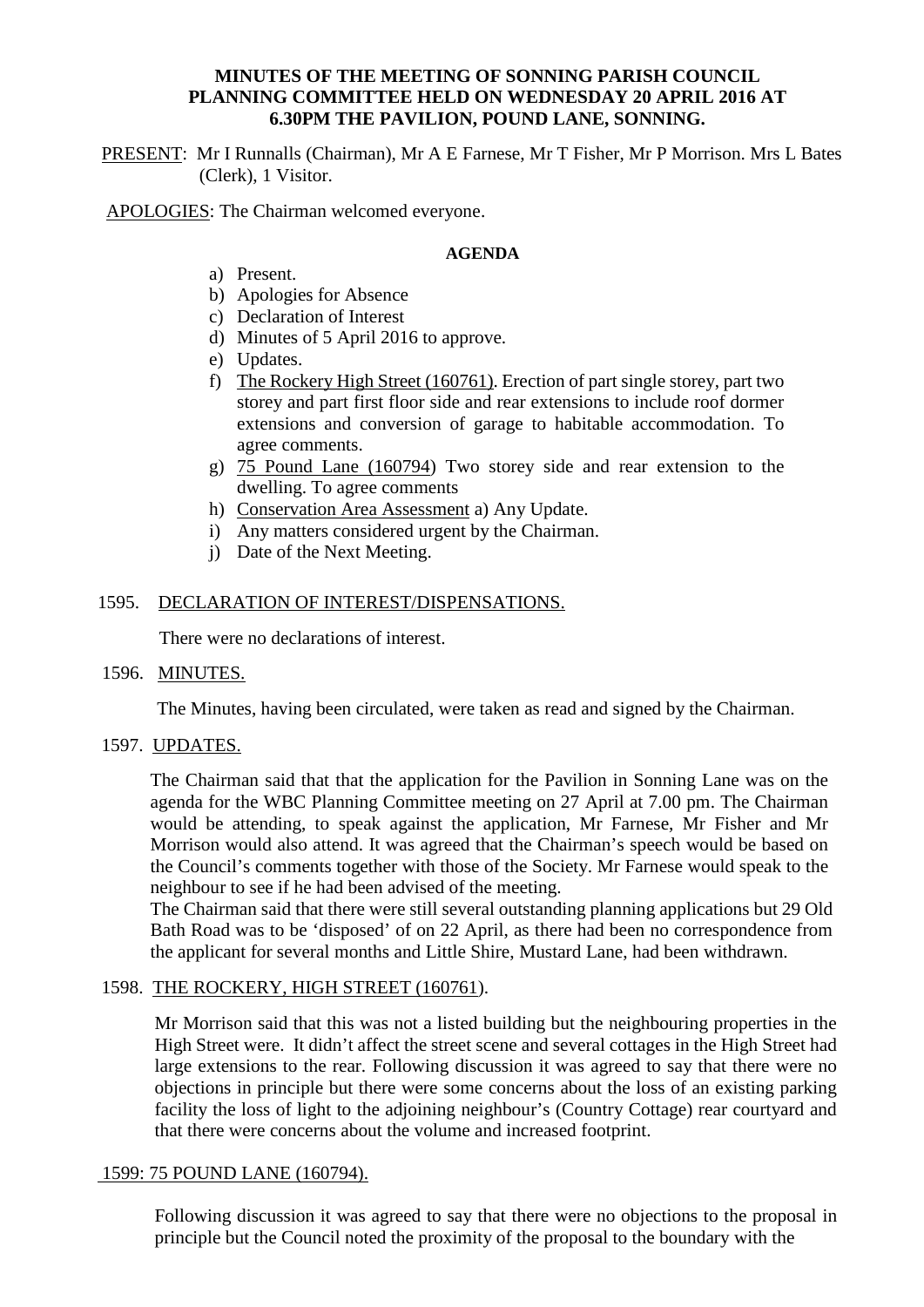# **MINUTES OF THE MEETING OF SONNING PARISH COUNCIL PLANNING COMMITTEE HELD ON WEDNESDAY 20 APRIL 2016 AT 6.30PM THE PAVILION, POUND LANE, SONNING.**

PRESENT: Mr I Runnalls (Chairman), Mr A E Farnese, Mr T Fisher, Mr P Morrison. Mrs L Bates (Clerk), 1 Visitor.

APOLOGIES: The Chairman welcomed everyone.

## **AGENDA**

- a) Present.
- b) Apologies for Absence
- c) Declaration of Interest
- d) Minutes of 5 April 2016 to approve.
- e) Updates.
- f) The Rockery High Street (160761). Erection of part single storey, part two storey and part first floor side and rear extensions to include roof dormer extensions and conversion of garage to habitable accommodation. To agree comments.
- g) 75 Pound Lane (160794) Two storey side and rear extension to the dwelling. To agree comments
- h) Conservation Area Assessment a) Any Update.
- i) Any matters considered urgent by the Chairman.
- j) Date of the Next Meeting.

# 1595. DECLARATION OF INTEREST/DISPENSATIONS.

There were no declarations of interest.

## 1596. MINUTES.

The Minutes, having been circulated, were taken as read and signed by the Chairman.

# 1597. UPDATES.

The Chairman said that that the application for the Pavilion in Sonning Lane was on the agenda for the WBC Planning Committee meeting on 27 April at 7.00 pm. The Chairman would be attending, to speak against the application, Mr Farnese, Mr Fisher and Mr Morrison would also attend. It was agreed that the Chairman's speech would be based on the Council's comments together with those of the Society. Mr Farnese would speak to the neighbour to see if he had been advised of the meeting.

The Chairman said that there were still several outstanding planning applications but 29 Old Bath Road was to be 'disposed' of on 22 April, as there had been no correspondence from the applicant for several months and Little Shire, Mustard Lane, had been withdrawn.

## 1598. THE ROCKERY, HIGH STREET (160761).

Mr Morrison said that this was not a listed building but the neighbouring properties in the High Street were. It didn't affect the street scene and several cottages in the High Street had large extensions to the rear. Following discussion it was agreed to say that there were no objections in principle but there were some concerns about the loss of an existing parking facility the loss of light to the adjoining neighbour's (Country Cottage) rear courtyard and that there were concerns about the volume and increased footprint.

## 1599: 75 POUND LANE (160794).

Following discussion it was agreed to say that there were no objections to the proposal in principle but the Council noted the proximity of the proposal to the boundary with the